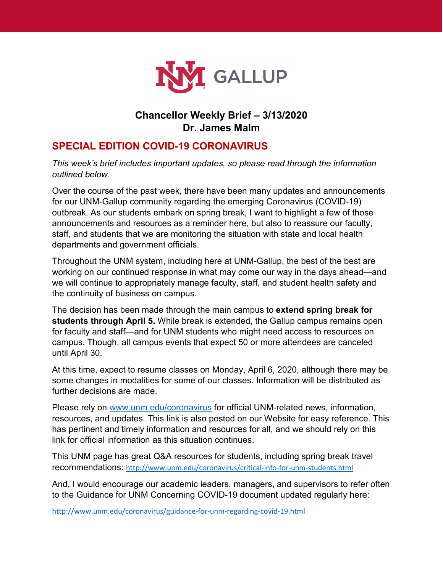

## **Chancellor Weekly Brief – 3/13/2020 Dr. James Malm**

## **SPECIAL EDITION COVID-19 CORONAVIRUS**

*This week's brief includes important updates, so please read through the information outlined below.* 

Over the course of the past week, there have been many updates and announcements for our UNM-Gallup community regarding the emerging Coronavirus (COVID-19) outbreak. As our students embark on spring break, I want to highlight a few of those announcements and resources as a reminder here, but also to reassure our faculty, staff, and students that we are monitoring the situation with state and local health departments and government officials.

Throughout the UNM system, including here at UNM-Gallup, the best of the best are working on our continued response in what may come our way in the days ahead—and we will continue to appropriately manage faculty, staff, and student health safety and the continuity of business on campus.

The decision has been made through the main campus to **extend spring break for students through April 5.** While break is extended, the Gallup campus remains open for faculty and staff—and for UNM students who might need access to resources on campus. Though, all campus events that expect 50 or more attendees are canceled until April 30.

At this time, expect to resume classes on Monday, April 6, 2020, although there may be some changes in modalities for some of our classes. Information will be distributed as further decisions are made.

Please rely on [www.unm.edu/coronavirus](http://www.unm.edu/coronavirus) for official UNM-related news, information, resources, and updates. This link is also posted on our Website for easy reference. This has pertinent and timely information and resources for all, and we should rely on this link for official information as this situation continues.

This UNM page has great Q&A resources for students, including spring break travel recommendations: <http://www.unm.edu/coronavirus/critical-info-for-unm-students.html>

And, I would encourage our academic leaders, managers, and supervisors to refer often to the Guidance for UNM Concerning COVID-19 document updated regularly here:

<http://www.unm.edu/coronavirus/guidance-for-unm-regarding-covid-19.html>